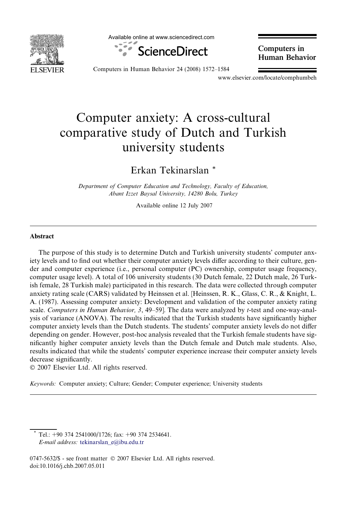

Available online at www.sciencedirect.com



Computers in Human Behavior

Computers in Human Behavior 24 (2008) 1572–1584

www.elsevier.com/locate/comphumbeh

# Computer anxiety: A cross-cultural comparative study of Dutch and Turkish university students

Erkan Tekinarslan \*

Department of Computer Education and Technology, Faculty of Education, Abant Izzet Baysal University, 14280 Bolu, Turkey

Available online 12 July 2007

### Abstract

The purpose of this study is to determine Dutch and Turkish university students' computer anxiety levels and to find out whether their computer anxiety levels differ according to their culture, gender and computer experience (i.e., personal computer (PC) ownership, computer usage frequency, computer usage level). A total of 106 university students (30 Dutch female, 22 Dutch male, 26 Turkish female, 28 Turkish male) participated in this research. The data were collected through computer anxiety rating scale (CARS) validated by Heinssen et al. [Heinssen, R. K., Glass, C. R., & Knight, L. A. (1987). Assessing computer anxiety: Development and validation of the computer anxiety rating scale. Computers in Human Behavior, 3, 49–59]. The data were analyzed by t-test and one-way-analysis of variance (ANOVA). The results indicated that the Turkish students have significantly higher computer anxiety levels than the Dutch students. The students' computer anxiety levels do not differ depending on gender. However, post-hoc analysis revealed that the Turkish female students have significantly higher computer anxiety levels than the Dutch female and Dutch male students. Also, results indicated that while the students' computer experience increase their computer anxiety levels decrease significantly.

- 2007 Elsevier Ltd. All rights reserved.

Keywords: Computer anxiety; Culture; Gender; Computer experience; University students

Tel.: +90 374 2541000/1726; fax: +90 374 2534641. E-mail address: [tekinarslan\\_e@ibu.edu.tr](mailto:tekinarslan_e@ibu.edu.tr)

0747-5632/\$ - see front matter © 2007 Elsevier Ltd. All rights reserved. doi:10.1016/j.chb.2007.05.011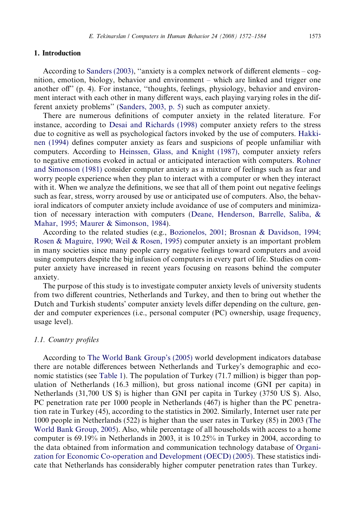## 1. Introduction

According to [Sanders \(2003\)](#page--1-0), ''anxiety is a complex network of different elements – cognition, emotion, biology, behavior and environment – which are linked and trigger one another off'' (p. 4). For instance, ''thoughts, feelings, physiology, behavior and environment interact with each other in many different ways, each playing varying roles in the different anxiety problems'' [\(Sanders, 2003, p. 5](#page--1-0)) such as computer anxiety.

There are numerous definitions of computer anxiety in the related literature. For instance, according to [Desai and Richards \(1998\)](#page--1-0) computer anxiety refers to the stress due to cognitive as well as psychological factors invoked by the use of computers. [Hakki](#page--1-0)[nen \(1994\)](#page--1-0) defines computer anxiety as fears and suspicions of people unfamiliar with computers. According to [Heinssen, Glass, and Knight \(1987\),](#page--1-0) computer anxiety refers to negative emotions evoked in actual or anticipated interaction with computers. [Rohner](#page--1-0) [and Simonson \(1981\)](#page--1-0) consider computer anxiety as a mixture of feelings such as fear and worry people experience when they plan to interact with a computer or when they interact with it. When we analyze the definitions, we see that all of them point out negative feelings such as fear, stress, worry aroused by use or anticipated use of computers. Also, the behavioral indicators of computer anxiety include avoidance of use of computers and minimization of necessary interaction with computers ([Deane, Henderson, Barrelle, Saliba, &](#page--1-0) [Mahar, 1995; Maurer & Simonson, 1984\)](#page--1-0).

According to the related studies (e.g., [Bozionelos, 2001; Brosnan & Davidson, 1994;](#page--1-0) [Rosen & Maguire, 1990; Weil & Rosen, 1995](#page--1-0)) computer anxiety is an important problem in many societies since many people carry negative feelings toward computers and avoid using computers despite the big infusion of computers in every part of life. Studies on computer anxiety have increased in recent years focusing on reasons behind the computer anxiety.

The purpose of this study is to investigate computer anxiety levels of university students from two different countries, Netherlands and Turkey, and then to bring out whether the Dutch and Turkish students' computer anxiety levels differ depending on the culture, gender and computer experiences (i.e., personal computer (PC) ownership, usage frequency, usage level).

### 1.1. Country profiles

According to [The World Bank Group's \(2005\)](#page--1-0) world development indicators database there are notable differences between Netherlands and Turkey's demographic and economic statistics (see [Table 1](#page--1-0)). The population of Turkey (71.7 million) is bigger than population of Netherlands (16.3 million), but gross national income (GNI per capita) in Netherlands (31,700 US \$) is higher than GNI per capita in Turkey (3750 US \$). Also, PC penetration rate per 1000 people in Netherlands (467) is higher than the PC penetration rate in Turkey (45), according to the statistics in 2002. Similarly, Internet user rate per 1000 people in Netherlands (522) is higher than the user rates in Turkey (85) in 2003 [\(The](#page--1-0) [World Bank Group, 2005](#page--1-0)). Also, while percentage of all households with access to a home computer is 69.19% in Netherlands in 2003, it is 10.25% in Turkey in 2004, according to the data obtained from information and communication technology database of [Organi](#page--1-0)[zation for Economic Co-operation and Development \(OECD\) \(2005\)](#page--1-0). These statistics indicate that Netherlands has considerably higher computer penetration rates than Turkey.